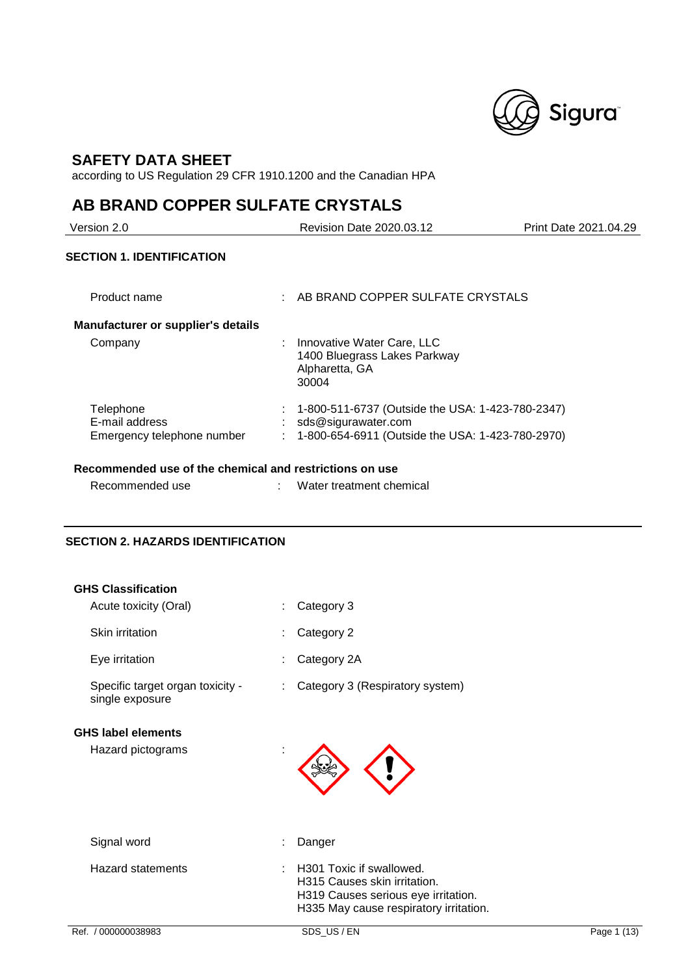

## **SAFETY DATA SHEET**

according to US Regulation 29 CFR 1910.1200 and the Canadian HPA

## **AB BRAND COPPER SULFATE CRYSTALS**

| Version 2.0                                               | Revision Date 2020.03.12                                                                                                    | Print Date 2021.04.29 |
|-----------------------------------------------------------|-----------------------------------------------------------------------------------------------------------------------------|-----------------------|
| <b>SECTION 1. IDENTIFICATION</b>                          |                                                                                                                             |                       |
| Product name                                              | AB BRAND COPPER SULFATE CRYSTALS                                                                                            |                       |
| <b>Manufacturer or supplier's details</b>                 |                                                                                                                             |                       |
| Company                                                   | Innovative Water Care, LLC<br>1400 Bluegrass Lakes Parkway<br>Alpharetta, GA<br>30004                                       |                       |
| Telephone<br>E-mail address<br>Emergency telephone number | 1-800-511-6737 (Outside the USA: 1-423-780-2347)<br>sds@sigurawater.com<br>1-800-654-6911 (Outside the USA: 1-423-780-2970) |                       |

## **Recommended use of the chemical and restrictions on use**

| Recommended use |  | Water treatment chemical |
|-----------------|--|--------------------------|
|-----------------|--|--------------------------|

## **SECTION 2. HAZARDS IDENTIFICATION**

| <b>GHS Classification</b>                           |                                                                                                                                           |             |
|-----------------------------------------------------|-------------------------------------------------------------------------------------------------------------------------------------------|-------------|
| Acute toxicity (Oral)                               | Category 3                                                                                                                                |             |
| Skin irritation                                     | Category 2                                                                                                                                |             |
| Eye irritation                                      | Category 2A                                                                                                                               |             |
| Specific target organ toxicity -<br>single exposure | Category 3 (Respiratory system)                                                                                                           |             |
| <b>GHS label elements</b><br>Hazard pictograms      |                                                                                                                                           |             |
| Signal word                                         | Danger                                                                                                                                    |             |
| <b>Hazard statements</b>                            | H301 Toxic if swallowed.<br>H315 Causes skin irritation.<br>H319 Causes serious eye irritation.<br>H335 May cause respiratory irritation. |             |
| Ref. / 000000038983                                 | SDS_US / EN                                                                                                                               | Page 1 (13) |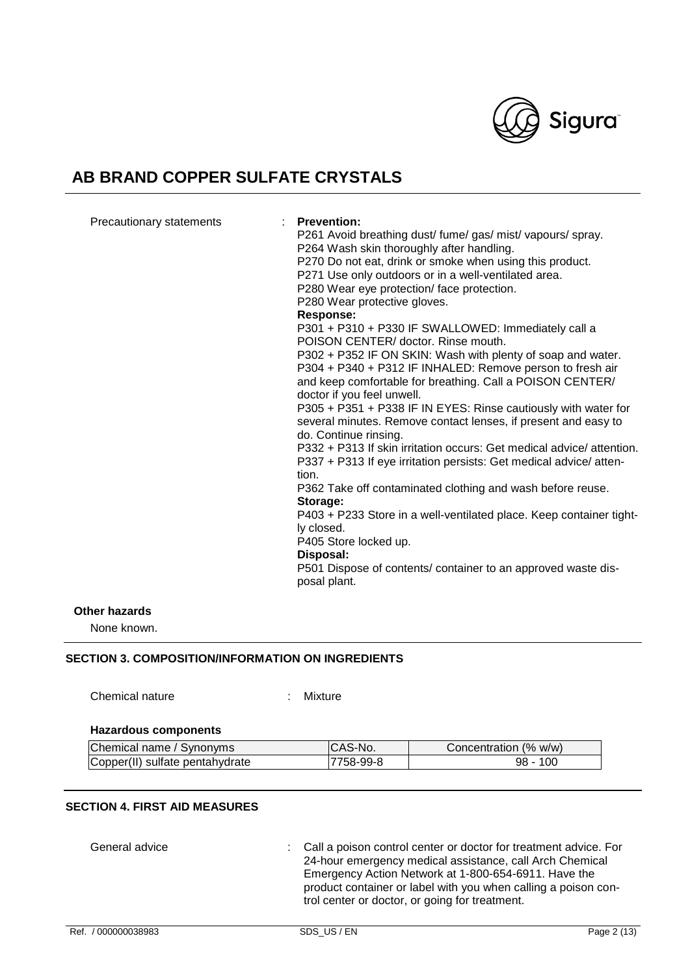

|  | Precautionary statements | <b>Prevention:</b><br>P261 Avoid breathing dust/ fume/ gas/ mist/ vapours/ spray.<br>P264 Wash skin thoroughly after handling.<br>P270 Do not eat, drink or smoke when using this product.<br>P271 Use only outdoors or in a well-ventilated area.<br>P280 Wear eye protection/face protection.<br>P280 Wear protective gloves.<br><b>Response:</b><br>P301 + P310 + P330 IF SWALLOWED: Immediately call a<br>POISON CENTER/ doctor. Rinse mouth.<br>P302 + P352 IF ON SKIN: Wash with plenty of soap and water.<br>P304 + P340 + P312 IF INHALED: Remove person to fresh air<br>and keep comfortable for breathing. Call a POISON CENTER/<br>doctor if you feel unwell.<br>P305 + P351 + P338 IF IN EYES: Rinse cautiously with water for<br>several minutes. Remove contact lenses, if present and easy to<br>do. Continue rinsing.<br>P332 + P313 If skin irritation occurs: Get medical advice/attention.<br>P337 + P313 If eye irritation persists: Get medical advice/atten-<br>tion.<br>P362 Take off contaminated clothing and wash before reuse.<br>Storage:<br>P403 + P233 Store in a well-ventilated place. Keep container tight-<br>ly closed.<br>P405 Store locked up.<br>Disposal:<br>P501 Dispose of contents/ container to an approved waste dis-<br>posal plant. |
|--|--------------------------|-----------------------------------------------------------------------------------------------------------------------------------------------------------------------------------------------------------------------------------------------------------------------------------------------------------------------------------------------------------------------------------------------------------------------------------------------------------------------------------------------------------------------------------------------------------------------------------------------------------------------------------------------------------------------------------------------------------------------------------------------------------------------------------------------------------------------------------------------------------------------------------------------------------------------------------------------------------------------------------------------------------------------------------------------------------------------------------------------------------------------------------------------------------------------------------------------------------------------------------------------------------------------------------|
|--|--------------------------|-----------------------------------------------------------------------------------------------------------------------------------------------------------------------------------------------------------------------------------------------------------------------------------------------------------------------------------------------------------------------------------------------------------------------------------------------------------------------------------------------------------------------------------------------------------------------------------------------------------------------------------------------------------------------------------------------------------------------------------------------------------------------------------------------------------------------------------------------------------------------------------------------------------------------------------------------------------------------------------------------------------------------------------------------------------------------------------------------------------------------------------------------------------------------------------------------------------------------------------------------------------------------------------|

### **Other hazards**

None known.

### **SECTION 3. COMPOSITION/INFORMATION ON INGREDIENTS**

Chemical nature : Mixture

#### **Hazardous components**

| Chemical name / Synonyms        | ICAS-No.  | Concentration (% w/w) |
|---------------------------------|-----------|-----------------------|
| Copper(II) sulfate pentahydrate | 7758-99-8 | $98 - 100$            |

## **SECTION 4. FIRST AID MEASURES**

General advice : Call a poison control center or doctor for treatment advice. For 24-hour emergency medical assistance, call Arch Chemical Emergency Action Network at 1-800-654-6911. Have the product container or label with you when calling a poison control center or doctor, or going for treatment.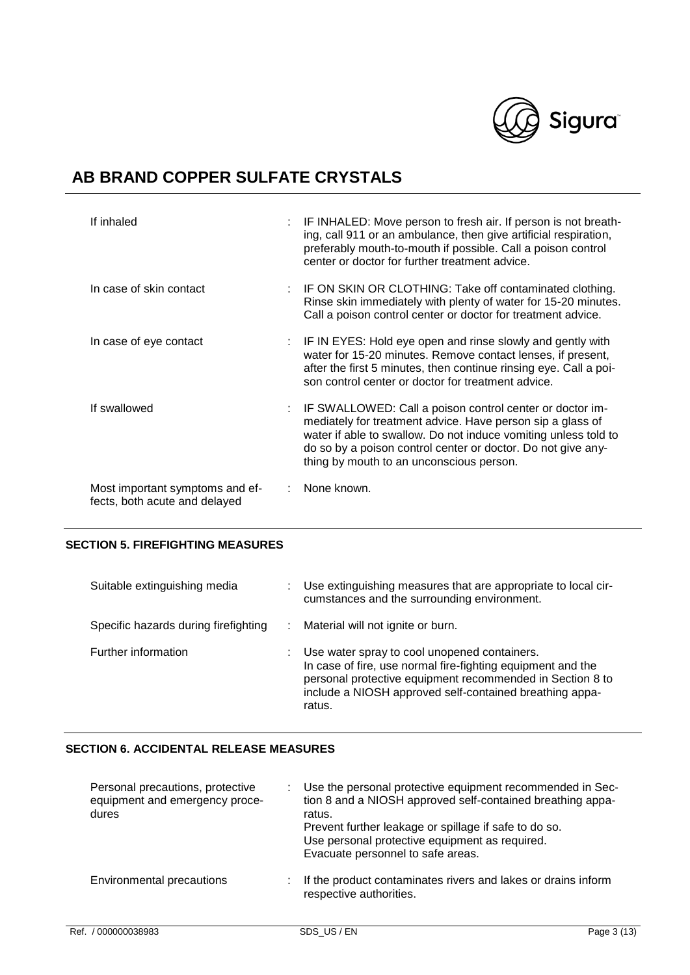

| If inhaled                                                       | IF INHALED: Move person to fresh air. If person is not breath-<br>ing, call 911 or an ambulance, then give artificial respiration,<br>preferably mouth-to-mouth if possible. Call a poison control<br>center or doctor for further treatment advice.                                                  |
|------------------------------------------------------------------|-------------------------------------------------------------------------------------------------------------------------------------------------------------------------------------------------------------------------------------------------------------------------------------------------------|
| In case of skin contact                                          | IF ON SKIN OR CLOTHING: Take off contaminated clothing.<br>Rinse skin immediately with plenty of water for 15-20 minutes.<br>Call a poison control center or doctor for treatment advice.                                                                                                             |
| In case of eye contact                                           | : IF IN EYES: Hold eye open and rinse slowly and gently with<br>water for 15-20 minutes. Remove contact lenses, if present,<br>after the first 5 minutes, then continue rinsing eye. Call a poi-<br>son control center or doctor for treatment advice.                                                |
| If swallowed                                                     | IF SWALLOWED: Call a poison control center or doctor im-<br>mediately for treatment advice. Have person sip a glass of<br>water if able to swallow. Do not induce vomiting unless told to<br>do so by a poison control center or doctor. Do not give any-<br>thing by mouth to an unconscious person. |
| Most important symptoms and ef-<br>fects, both acute and delayed | None known.                                                                                                                                                                                                                                                                                           |

## **SECTION 5. FIREFIGHTING MEASURES**

| Suitable extinguishing media         | Use extinguishing measures that are appropriate to local cir-<br>cumstances and the surrounding environment.                                                                                                                                  |
|--------------------------------------|-----------------------------------------------------------------------------------------------------------------------------------------------------------------------------------------------------------------------------------------------|
| Specific hazards during firefighting | Material will not ignite or burn.                                                                                                                                                                                                             |
| Further information                  | Use water spray to cool unopened containers.<br>In case of fire, use normal fire-fighting equipment and the<br>personal protective equipment recommended in Section 8 to<br>include a NIOSH approved self-contained breathing appa-<br>ratus. |

## **SECTION 6. ACCIDENTAL RELEASE MEASURES**

| Personal precautions, protective<br>equipment and emergency proce-<br>dures | Use the personal protective equipment recommended in Sec-<br>tion 8 and a NIOSH approved self-contained breathing appa-<br>ratus.<br>Prevent further leakage or spillage if safe to do so.<br>Use personal protective equipment as required.<br>Evacuate personnel to safe areas. |
|-----------------------------------------------------------------------------|-----------------------------------------------------------------------------------------------------------------------------------------------------------------------------------------------------------------------------------------------------------------------------------|
| <b>Environmental precautions</b>                                            | If the product contaminates rivers and lakes or drains inform<br>respective authorities.                                                                                                                                                                                          |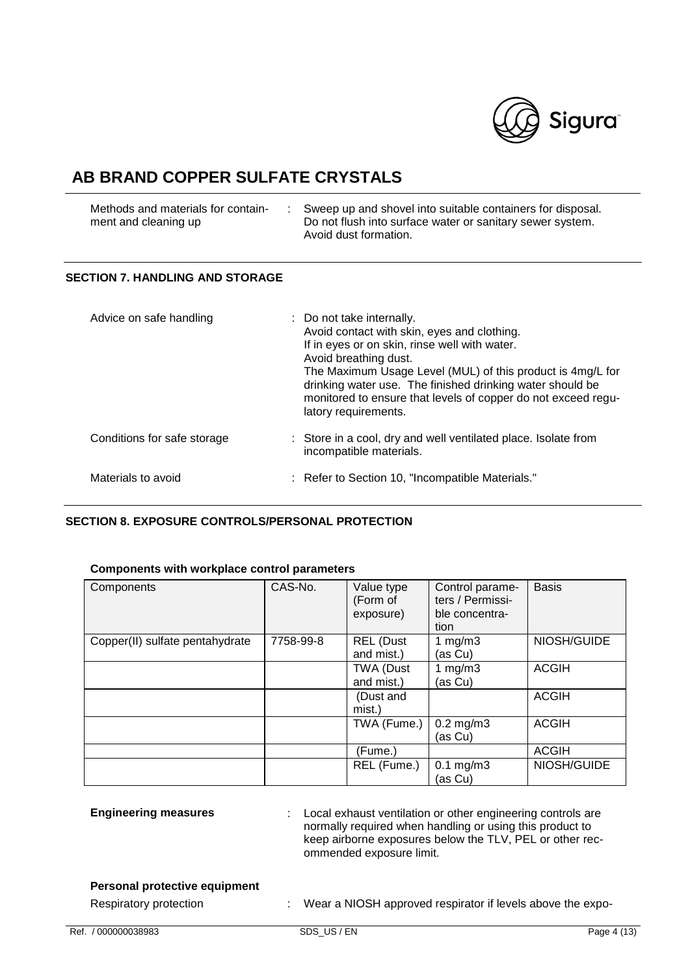

| Methods and materials for contain- | Sweep up and shovel into suitable containers for disposal. |
|------------------------------------|------------------------------------------------------------|
| ment and cleaning up               | Do not flush into surface water or sanitary sewer system.  |
|                                    | Avoid dust formation.                                      |

## **SECTION 7. HANDLING AND STORAGE**

| Advice on safe handling     | : Do not take internally.<br>Avoid contact with skin, eyes and clothing.<br>If in eyes or on skin, rinse well with water.<br>Avoid breathing dust.<br>The Maximum Usage Level (MUL) of this product is 4mg/L for<br>drinking water use. The finished drinking water should be<br>monitored to ensure that levels of copper do not exceed regu-<br>latory requirements. |
|-----------------------------|------------------------------------------------------------------------------------------------------------------------------------------------------------------------------------------------------------------------------------------------------------------------------------------------------------------------------------------------------------------------|
| Conditions for safe storage | : Store in a cool, dry and well ventilated place. Isolate from<br>incompatible materials.                                                                                                                                                                                                                                                                              |
| Materials to avoid          | : Refer to Section 10, "Incompatible Materials."                                                                                                                                                                                                                                                                                                                       |

### **SECTION 8. EXPOSURE CONTROLS/PERSONAL PROTECTION**

### **Components with workplace control parameters**

| Components                      | CAS-No.   | Value type<br>(Form of<br>exposure) | Control parame-<br>ters / Permissi-<br>ble concentra-<br>tion | <b>Basis</b> |
|---------------------------------|-----------|-------------------------------------|---------------------------------------------------------------|--------------|
| Copper(II) sulfate pentahydrate | 7758-99-8 | <b>REL</b> (Dust<br>and mist.)      | 1 mg/m $3$<br>(as Cu)                                         | NIOSH/GUIDE  |
|                                 |           | TWA (Dust<br>and mist.)             | 1 $mg/m3$<br>(as Cu)                                          | <b>ACGIH</b> |
|                                 |           | (Dust and<br>mist.)                 |                                                               | <b>ACGIH</b> |
|                                 |           | TWA (Fume.)                         | $0.2$ mg/m $3$<br>(as Cu)                                     | <b>ACGIH</b> |
|                                 |           | (Fume.)                             |                                                               | <b>ACGIH</b> |
|                                 |           | REL (Fume.)                         | $0.1 \text{ mg/m}$ 3<br>(as Cu)                               | NIOSH/GUIDE  |

| <b>Engineering measures</b>                                    | : Local exhaust ventilation or other engineering controls are<br>normally required when handling or using this product to<br>keep airborne exposures below the TLV, PEL or other rec-<br>ommended exposure limit. |
|----------------------------------------------------------------|-------------------------------------------------------------------------------------------------------------------------------------------------------------------------------------------------------------------|
| <b>Personal protective equipment</b><br>Respiratory protection | Wear a NIOSH approved respirator if levels above the expo-                                                                                                                                                        |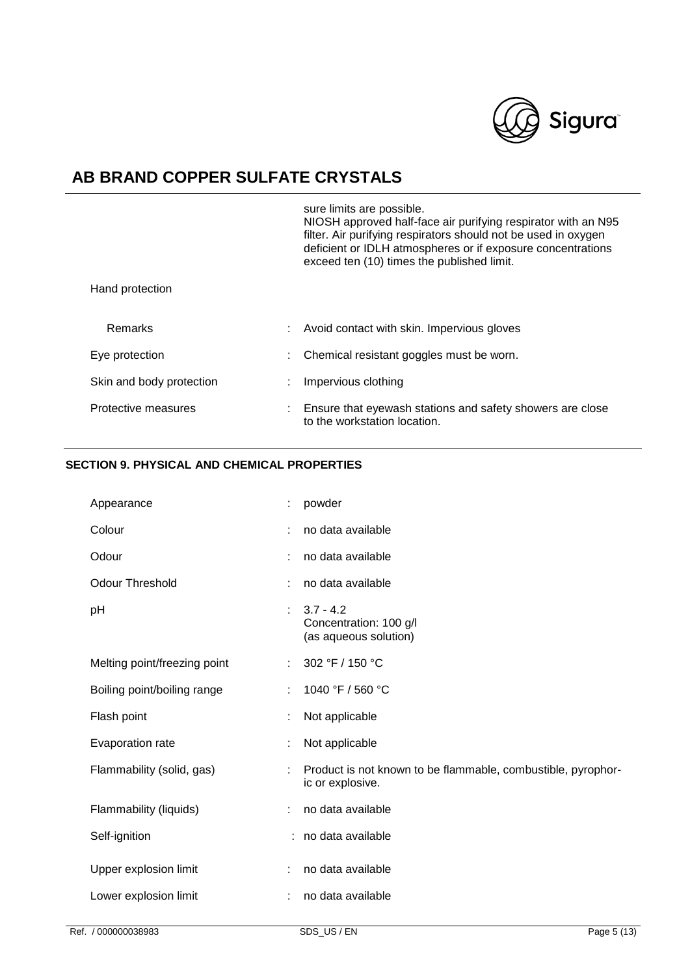

|                          | sure limits are possible.<br>NIOSH approved half-face air purifying respirator with an N95<br>filter. Air purifying respirators should not be used in oxygen<br>deficient or IDLH atmospheres or if exposure concentrations<br>exceed ten (10) times the published limit. |  |
|--------------------------|---------------------------------------------------------------------------------------------------------------------------------------------------------------------------------------------------------------------------------------------------------------------------|--|
| Hand protection          |                                                                                                                                                                                                                                                                           |  |
| <b>Remarks</b>           | Avoid contact with skin. Impervious gloves                                                                                                                                                                                                                                |  |
| Eye protection           | Chemical resistant goggles must be worn.                                                                                                                                                                                                                                  |  |
| Skin and body protection | Impervious clothing                                                                                                                                                                                                                                                       |  |
| Protective measures      | Ensure that eyewash stations and safety showers are close<br>to the workstation location.                                                                                                                                                                                 |  |

## **SECTION 9. PHYSICAL AND CHEMICAL PROPERTIES**

| Appearance                   | t | powder                                                                           |
|------------------------------|---|----------------------------------------------------------------------------------|
| Colour                       |   | no data available                                                                |
| Odour                        |   | no data available                                                                |
| <b>Odour Threshold</b>       | ÷ | no data available                                                                |
| pH                           |   | $3.7 - 4.2$<br>Concentration: 100 g/l<br>(as aqueous solution)                   |
| Melting point/freezing point |   | 302 °F / 150 °C                                                                  |
| Boiling point/boiling range  | ÷ | 1040 °F / 560 °C                                                                 |
| Flash point                  |   | Not applicable                                                                   |
| Evaporation rate             |   | Not applicable                                                                   |
| Flammability (solid, gas)    |   | Product is not known to be flammable, combustible, pyrophor-<br>ic or explosive. |
| Flammability (liquids)       |   | no data available                                                                |
| Self-ignition                |   | : no data available                                                              |
| Upper explosion limit        | ÷ | no data available                                                                |
| Lower explosion limit        |   | no data available                                                                |
|                              |   |                                                                                  |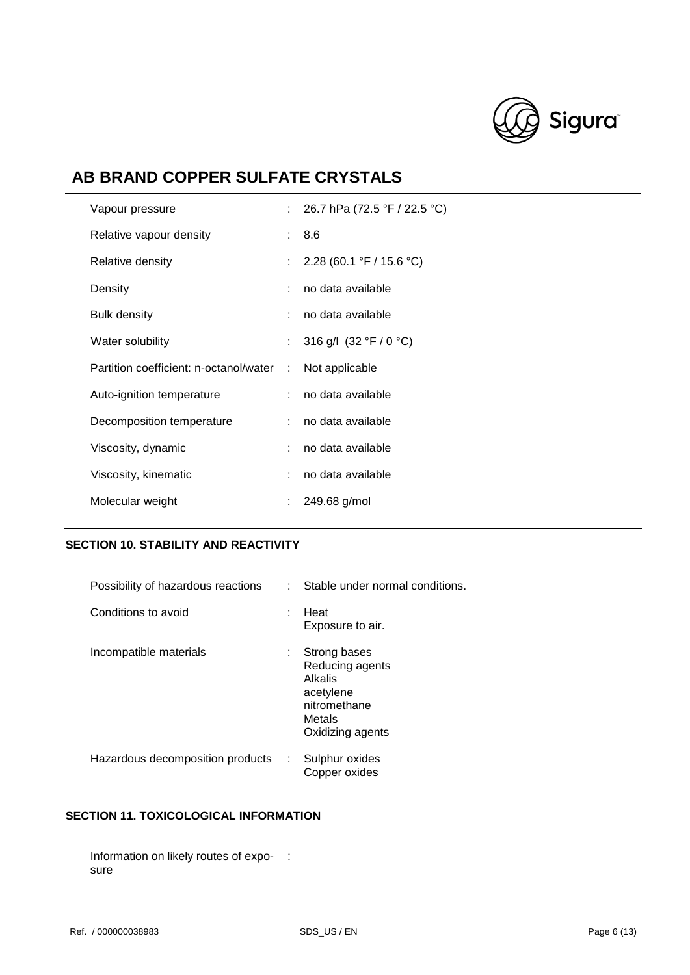

| Vapour pressure                        |   | 26.7 hPa (72.5 °F / 22.5 °C) |
|----------------------------------------|---|------------------------------|
| Relative vapour density                |   | : 8.6                        |
| Relative density                       |   | : $2.28(60.1 °F / 15.6 °C)$  |
| Density                                |   | no data available            |
| Bulk density                           |   | no data available            |
| Water solubility                       |   | 316 g/l $(32 °F / 0 °C)$     |
| Partition coefficient: n-octanol/water | ÷ | Not applicable               |
| Auto-ignition temperature              |   | no data available            |
| Decomposition temperature              |   | no data available            |
| Viscosity, dynamic                     |   | no data available            |
| Viscosity, kinematic                   |   | no data available            |
| Molecular weight                       |   | 249.68 g/mol                 |

## **SECTION 10. STABILITY AND REACTIVITY**

| Possibility of hazardous reactions | Stable under normal conditions.<br>t.                                                                       |
|------------------------------------|-------------------------------------------------------------------------------------------------------------|
| Conditions to avoid                | Heat<br>t.<br>Exposure to air.                                                                              |
| Incompatible materials             | Strong bases<br>t.<br>Reducing agents<br>Alkalis<br>acetylene<br>nitromethane<br>Metals<br>Oxidizing agents |
| Hazardous decomposition products   | Sulphur oxides<br>÷.<br>Copper oxides                                                                       |

## **SECTION 11. TOXICOLOGICAL INFORMATION**

Information on likely routes of expo- : sure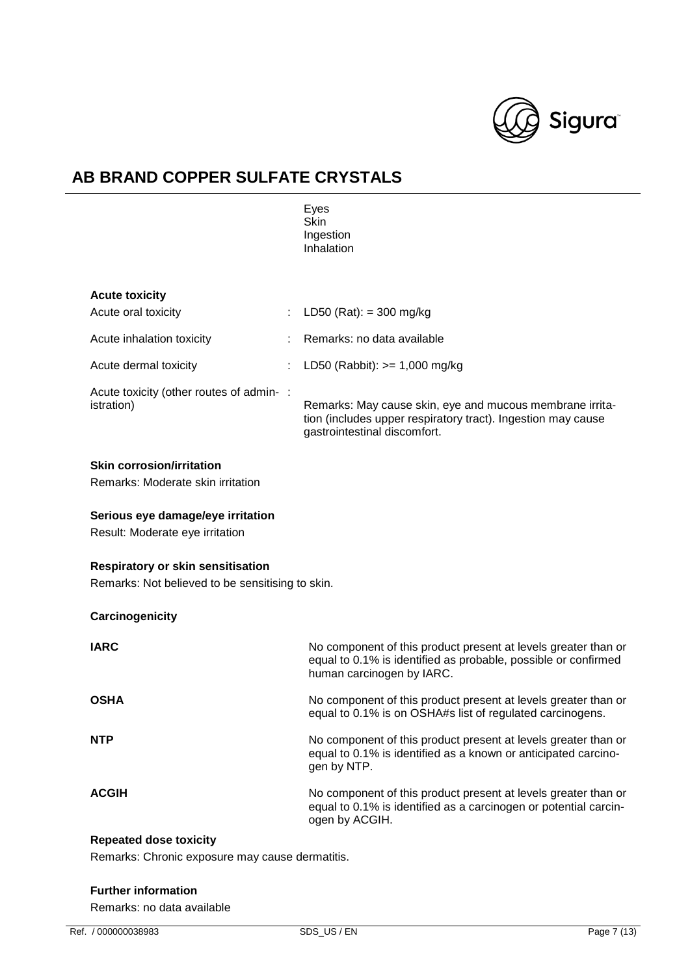

|                                                                                              | Eyes<br><b>Skin</b><br>Ingestion<br>Inhalation                                                                                                                |
|----------------------------------------------------------------------------------------------|---------------------------------------------------------------------------------------------------------------------------------------------------------------|
| <b>Acute toxicity</b>                                                                        |                                                                                                                                                               |
| Acute oral toxicity<br>÷                                                                     | LD50 (Rat): = 300 mg/kg                                                                                                                                       |
| Acute inhalation toxicity                                                                    | Remarks: no data available                                                                                                                                    |
| Acute dermal toxicity                                                                        | LD50 (Rabbit): $>= 1,000$ mg/kg                                                                                                                               |
| Acute toxicity (other routes of admin-:<br>istration)                                        | Remarks: May cause skin, eye and mucous membrane irrita-<br>tion (includes upper respiratory tract). Ingestion may cause<br>gastrointestinal discomfort.      |
| <b>Skin corrosion/irritation</b><br>Remarks: Moderate skin irritation                        |                                                                                                                                                               |
| Serious eye damage/eye irritation<br>Result: Moderate eye irritation                         |                                                                                                                                                               |
| <b>Respiratory or skin sensitisation</b><br>Remarks: Not believed to be sensitising to skin. |                                                                                                                                                               |
| Carcinogenicity                                                                              |                                                                                                                                                               |
| <b>IARC</b>                                                                                  | No component of this product present at levels greater than or<br>equal to 0.1% is identified as probable, possible or confirmed<br>human carcinogen by IARC. |
| <b>OSHA</b>                                                                                  | No component of this product present at levels greater than or<br>equal to 0.1% is on OSHA#s list of regulated carcinogens.                                   |
| NTP                                                                                          | No component of this product present at levels greater than or<br>equal to 0.1% is identified as a known or anticipated carcino-<br>gen by NTP.               |
| <b>ACGIH</b>                                                                                 | No component of this product present at levels greater than or<br>equal to 0.1% is identified as a carcinogen or potential carcin-<br>ogen by ACGIH.          |
| <b>Repeated dose toxicity</b>                                                                |                                                                                                                                                               |
| Remarks: Chronic exposure may cause dermatitis.                                              |                                                                                                                                                               |

### **Further information**

Remarks: no data available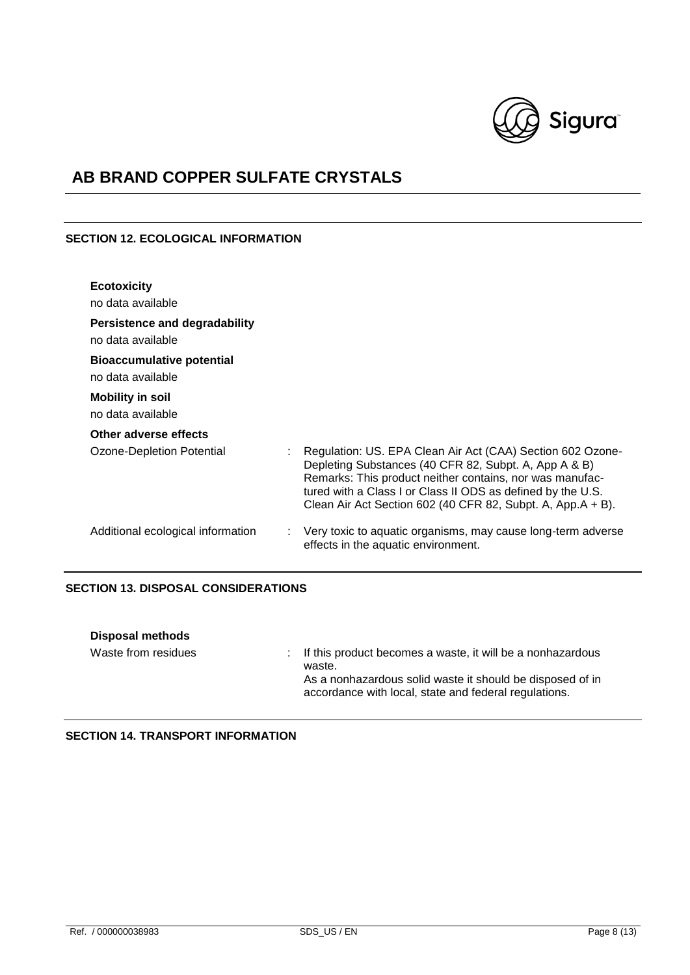

## **SECTION 12. ECOLOGICAL INFORMATION**

| <b>Ecotoxicity</b><br>no data available               |                                                                                                                                                                                                                                                                                                               |
|-------------------------------------------------------|---------------------------------------------------------------------------------------------------------------------------------------------------------------------------------------------------------------------------------------------------------------------------------------------------------------|
| Persistence and degradability<br>no data available    |                                                                                                                                                                                                                                                                                                               |
| <b>Bioaccumulative potential</b><br>no data available |                                                                                                                                                                                                                                                                                                               |
| <b>Mobility in soil</b><br>no data available          |                                                                                                                                                                                                                                                                                                               |
| Other adverse effects                                 |                                                                                                                                                                                                                                                                                                               |
| Ozone-Depletion Potential                             | Regulation: US. EPA Clean Air Act (CAA) Section 602 Ozone-<br>Depleting Substances (40 CFR 82, Subpt. A, App A & B)<br>Remarks: This product neither contains, nor was manufac-<br>tured with a Class I or Class II ODS as defined by the U.S.<br>Clean Air Act Section 602 (40 CFR 82, Subpt. A, App.A + B). |
| Additional ecological information<br>÷                | Very toxic to aquatic organisms, may cause long-term adverse<br>effects in the aquatic environment.                                                                                                                                                                                                           |

### **SECTION 13. DISPOSAL CONSIDERATIONS**

| <b>Disposal methods</b> |                                                                                                                                                                                              |
|-------------------------|----------------------------------------------------------------------------------------------------------------------------------------------------------------------------------------------|
| Waste from residues     | : If this product becomes a waste, it will be a nonhazardous<br>waste.<br>As a nonhazardous solid waste it should be disposed of in<br>accordance with local, state and federal regulations. |

## **SECTION 14. TRANSPORT INFORMATION**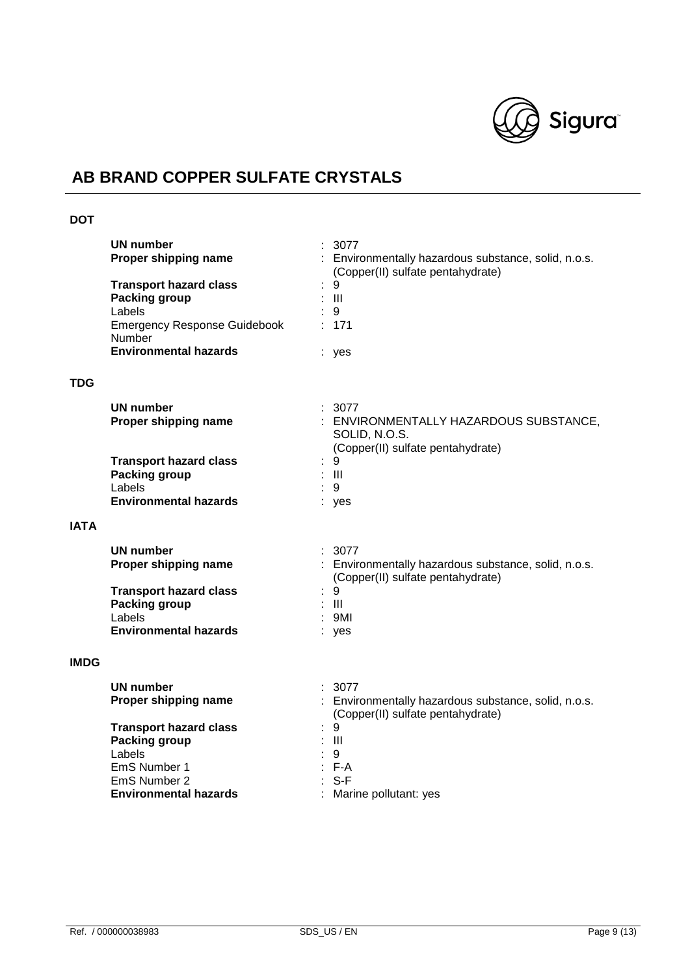

## **DOT**

|             | UN number<br>Proper shipping name<br><b>Transport hazard class</b><br><b>Packing group</b><br>Labels<br><b>Emergency Response Guidebook</b><br>Number<br><b>Environmental hazards</b> | 3077<br>: Environmentally hazardous substance, solid, n.o.s.<br>(Copper(II) sulfate pentahydrate)<br>9<br>$\mathbf{III}$<br>9<br>171<br>: yes |
|-------------|---------------------------------------------------------------------------------------------------------------------------------------------------------------------------------------|-----------------------------------------------------------------------------------------------------------------------------------------------|
| TDG         |                                                                                                                                                                                       |                                                                                                                                               |
|             | UN number<br>Proper shipping name                                                                                                                                                     | 3077<br>: ENVIRONMENTALLY HAZARDOUS SUBSTANCE,<br>SOLID, N.O.S.<br>(Copper(II) sulfate pentahydrate)                                          |
|             | <b>Transport hazard class</b>                                                                                                                                                         | 9                                                                                                                                             |
|             | <b>Packing group</b><br>Labels                                                                                                                                                        | -III<br>9                                                                                                                                     |
|             | <b>Environmental hazards</b>                                                                                                                                                          | yes                                                                                                                                           |
| <b>IATA</b> |                                                                                                                                                                                       |                                                                                                                                               |
|             | <b>UN number</b><br>Proper shipping name                                                                                                                                              | : 3077<br>: Environmentally hazardous substance, solid, n.o.s.<br>(Copper(II) sulfate pentahydrate)                                           |
|             | <b>Transport hazard class</b><br><b>Packing group</b>                                                                                                                                 | 9<br>Ш                                                                                                                                        |
|             | Labels                                                                                                                                                                                | : 9M1                                                                                                                                         |
|             | <b>Environmental hazards</b>                                                                                                                                                          | : yes                                                                                                                                         |
| <b>IMDG</b> |                                                                                                                                                                                       |                                                                                                                                               |
|             | UN number<br>Proper shipping name                                                                                                                                                     | : 3077<br>: Environmentally hazardous substance, solid, n.o.s.<br>(Copper(II) sulfate pentahydrate)                                           |
|             | <b>Transport hazard class</b>                                                                                                                                                         | 9                                                                                                                                             |
|             | <b>Packing group</b><br>Labels                                                                                                                                                        | $\mathbf{III}$<br>9                                                                                                                           |
|             | EmS Number 1                                                                                                                                                                          | F-A                                                                                                                                           |
|             | EmS Number 2                                                                                                                                                                          | $S-F$                                                                                                                                         |
|             | <b>Environmental hazards</b>                                                                                                                                                          | Marine pollutant: yes                                                                                                                         |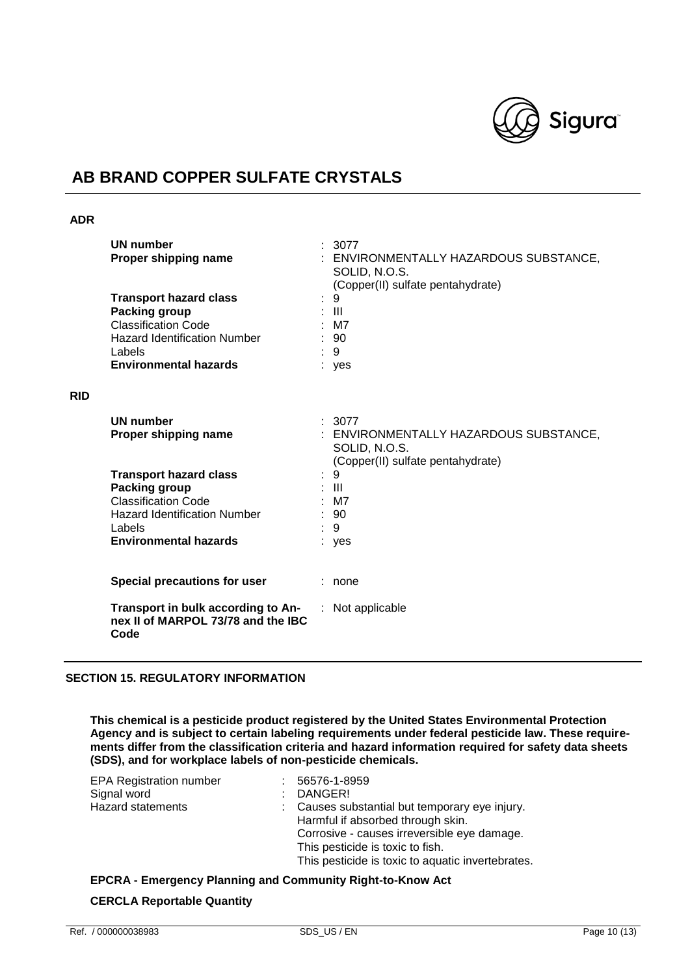

### **ADR**

**RID**

| UN number<br>Proper shipping name                                                                                                                                         |    | : 3077<br>ENVIRONMENTALLY HAZARDOUS SUBSTANCE,<br>SOLID, N.O.S.<br>(Copper(II) sulfate pentahydrate)                                           |
|---------------------------------------------------------------------------------------------------------------------------------------------------------------------------|----|------------------------------------------------------------------------------------------------------------------------------------------------|
| <b>Transport hazard class</b><br><b>Packing group</b><br><b>Classification Code</b><br><b>Hazard Identification Number</b><br>Labels<br><b>Environmental hazards</b>      |    | 9<br>: III<br>M7<br>90<br>9<br>: yes                                                                                                           |
| <b>UN number</b><br>Proper shipping name<br><b>Transport hazard class</b><br>Packing group<br><b>Classification Code</b><br><b>Hazard Identification Number</b><br>Labels |    | : 3077<br>ENVIRONMENTALLY HAZARDOUS SUBSTANCE,<br>SOLID, N.O.S.<br>(Copper(II) sulfate pentahydrate)<br>9<br>$\mathbf{III}$<br>M7<br>: 90<br>9 |
| <b>Environmental hazards</b>                                                                                                                                              |    | : yes                                                                                                                                          |
| Special precautions for user                                                                                                                                              |    | : none                                                                                                                                         |
| Transport in bulk according to An-<br>nex II of MARPOL 73/78 and the IBC<br>Code                                                                                          | ÷. | Not applicable                                                                                                                                 |

## **SECTION 15. REGULATORY INFORMATION**

**This chemical is a pesticide product registered by the United States Environmental Protection Agency and is subject to certain labeling requirements under federal pesticide law. These requirements differ from the classification criteria and hazard information required for safety data sheets (SDS), and for workplace labels of non-pesticide chemicals.**

| <b>EPA Registration number</b> |                             | 56576-1-8959                                                                                                                                                                                                                |
|--------------------------------|-----------------------------|-----------------------------------------------------------------------------------------------------------------------------------------------------------------------------------------------------------------------------|
| Signal word                    | $\mathcal{F}_{\mathcal{A}}$ | DANGER!                                                                                                                                                                                                                     |
| <b>Hazard statements</b>       |                             | : Causes substantial but temporary eye injury.<br>Harmful if absorbed through skin.<br>Corrosive - causes irreversible eye damage.<br>This pesticide is toxic to fish.<br>This pesticide is toxic to aquatic invertebrates. |

## **EPCRA - Emergency Planning and Community Right-to-Know Act CERCLA Reportable Quantity**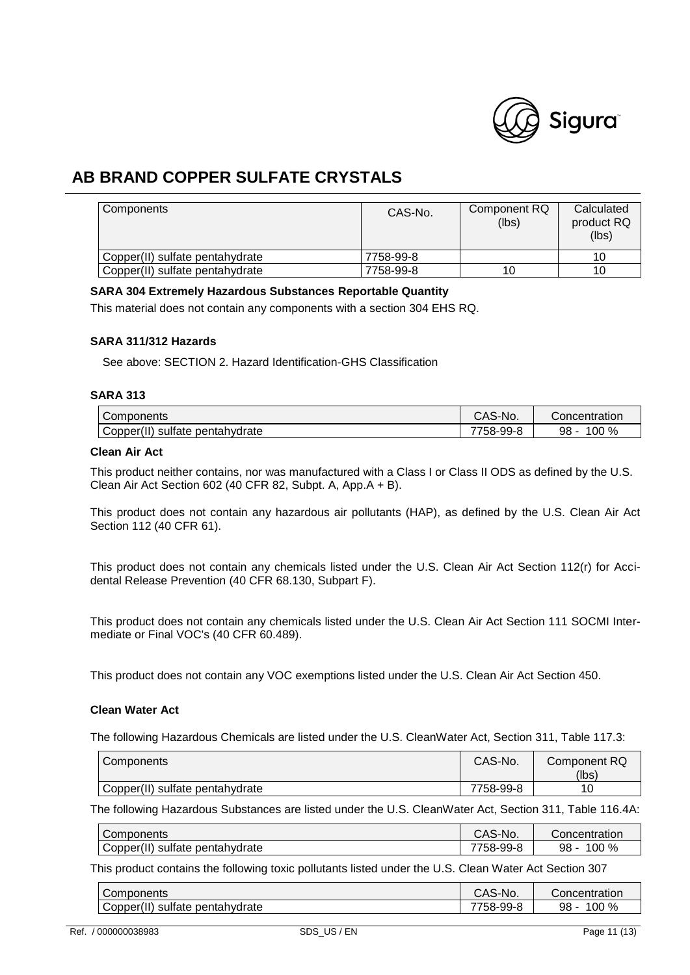

| <b>Components</b>               | CAS-No.   | Component RQ<br>(lbs) | Calculated<br>product RQ<br>(lbs) |
|---------------------------------|-----------|-----------------------|-----------------------------------|
| Copper(II) sulfate pentahydrate | 7758-99-8 |                       | 10                                |
| Copper(II) sulfate pentahydrate | 7758-99-8 |                       | 10                                |

### **SARA 304 Extremely Hazardous Substances Reportable Quantity**

This material does not contain any components with a section 304 EHS RQ.

### **SARA 311/312 Hazards**

See above: SECTION 2. Hazard Identification-GHS Classification

### **SARA 313**

| Components                         | CAS-No.   | Concentration  |
|------------------------------------|-----------|----------------|
| Copper(II)<br>sulfate pentahydrate | 7758-99-ა | $00\%$<br>98 - |

## **Clean Air Act**

This product neither contains, nor was manufactured with a Class I or Class II ODS as defined by the U.S. Clean Air Act Section 602 (40 CFR 82, Subpt. A, App.A + B).

This product does not contain any hazardous air pollutants (HAP), as defined by the U.S. Clean Air Act Section 112 (40 CFR 61).

This product does not contain any chemicals listed under the U.S. Clean Air Act Section 112(r) for Accidental Release Prevention (40 CFR 68.130, Subpart F).

This product does not contain any chemicals listed under the U.S. Clean Air Act Section 111 SOCMI Intermediate or Final VOC's (40 CFR 60.489).

This product does not contain any VOC exemptions listed under the U.S. Clean Air Act Section 450.

### **Clean Water Act**

The following Hazardous Chemicals are listed under the U.S. CleanWater Act, Section 311, Table 117.3:

| Components                      | CAS-No.   | Component RQ<br>(lbs) |
|---------------------------------|-----------|-----------------------|
| Copper(II) sulfate pentahydrate | 7758-99-8 |                       |

The following Hazardous Substances are listed under the U.S. CleanWater Act, Section 311, Table 116.4A:

| Components                                        | CAS-No.   | Concentration |
|---------------------------------------------------|-----------|---------------|
| 1.11<br>sulfate<br>pentahvdrate !<br>Copper(II) 1 | 7758-99-ა | $00\%$<br>98  |

This product contains the following toxic pollutants listed under the U.S. Clean Water Act Section 307

| Components                                   | S-No.<br>cau | Concentration    |
|----------------------------------------------|--------------|------------------|
| $\cdots$<br>Copper("<br>sulfate pentahydrate | 758-99-8     | 100<br>%<br>98 - |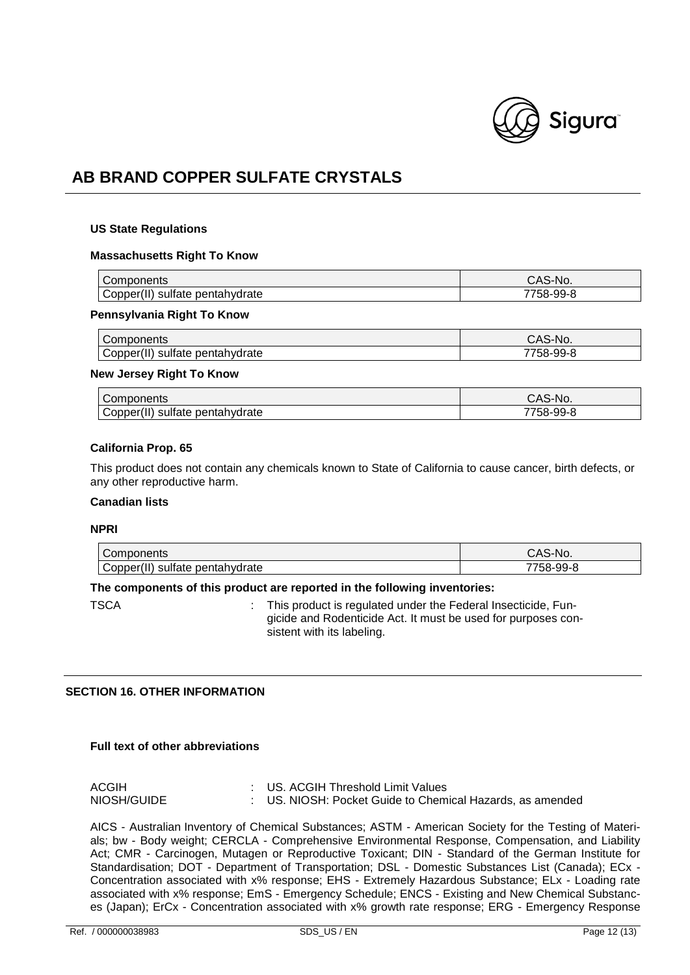

#### **US State Regulations**

#### **Massachusetts Right To Know**

|                                   | No.          |
|-----------------------------------|--------------|
| pentahydrate<br>opper)<br>sultate | റ<br>58-99-8 |

#### **Pennsylvania Right To Know**

| Components                         | CAS-No.  |
|------------------------------------|----------|
| 'opper"<br>pentahydrate<br>sultate | '58-99-8 |

#### **New Jersey Right To Know**

| Components                              | CAS-No.   |
|-----------------------------------------|-----------|
| Copper(II)<br>sulfate<br>e pentahvdrate | 7758-99-8 |

### **California Prop. 65**

This product does not contain any chemicals known to State of California to cause cancer, birth defects, or any other reproductive harm.

### **Canadian lists**

### **NPRI**

| Components                         | `S-No.<br>しハこ        |
|------------------------------------|----------------------|
| sultate pentahydrate<br>Copper(II) | $\sim$<br>ററ<br>99-0 |

### **The components of this product are reported in the following inventories:**

TSCA : This product is regulated under the Federal Insecticide, Fungicide and Rodenticide Act. It must be used for purposes consistent with its labeling.

### **SECTION 16. OTHER INFORMATION**

### **Full text of other abbreviations**

| ACGIH       | : US. ACGIH Threshold Limit Values                        |
|-------------|-----------------------------------------------------------|
| NIOSH/GUIDE | : US. NIOSH: Pocket Guide to Chemical Hazards, as amended |

AICS - Australian Inventory of Chemical Substances; ASTM - American Society for the Testing of Materials; bw - Body weight; CERCLA - Comprehensive Environmental Response, Compensation, and Liability Act; CMR - Carcinogen, Mutagen or Reproductive Toxicant; DIN - Standard of the German Institute for Standardisation; DOT - Department of Transportation; DSL - Domestic Substances List (Canada); ECx - Concentration associated with x% response; EHS - Extremely Hazardous Substance; ELx - Loading rate associated with x% response; EmS - Emergency Schedule; ENCS - Existing and New Chemical Substances (Japan); ErCx - Concentration associated with x% growth rate response; ERG - Emergency Response